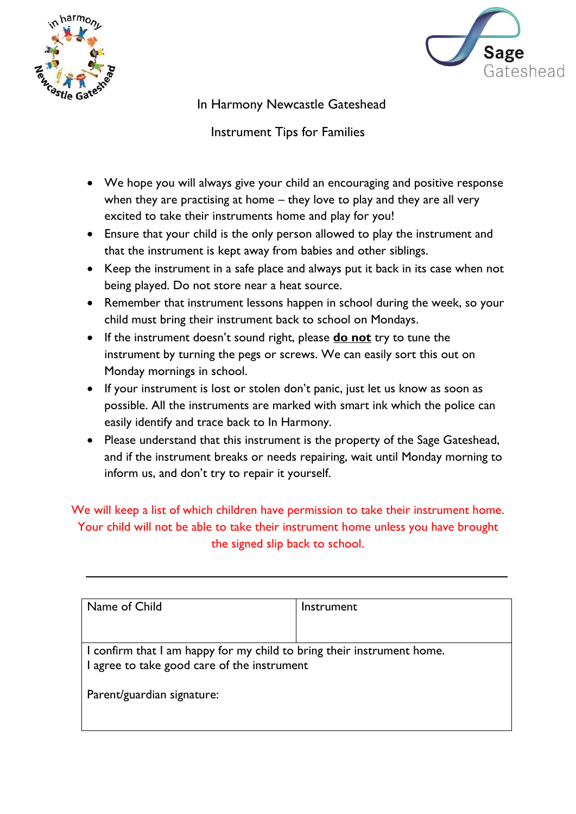



In Harmony Newcastle Gateshead

Instrument Tips for Families

- We hope you will always give your child an encouraging and positive response when they are practising at home – they love to play and they are all very excited to take their instruments home and play for you!
- Ensure that your child is the only person allowed to play the instrument and that the instrument is kept away from babies and other siblings.
- Keep the instrument in a safe place and always put it back in its case when not being played. Do not store near a heat source.
- Remember that instrument lessons happen in school during the week, so your child must bring their instrument back to school on Mondays.
- If the instrument doesn't sound right, please **do not** try to tune the instrument by turning the pegs or screws. We can easily sort this out on Monday mornings in school.
- If your instrument is lost or stolen don't panic, just let us know as soon as possible. All the instruments are marked with smart ink which the police can easily identify and trace back to In Harmony.
- Please understand that this instrument is the property of the Sage Gateshead, and if the instrument breaks or needs repairing, wait until Monday morning to inform us, and don't try to repair it yourself.

We will keep a list of which children have permission to take their instrument home. Your child will not be able to take their instrument home unless you have brought the signed slip back to school.

| I confirm that I am happy for my child to bring their instrument home. |
|------------------------------------------------------------------------|
|                                                                        |
|                                                                        |